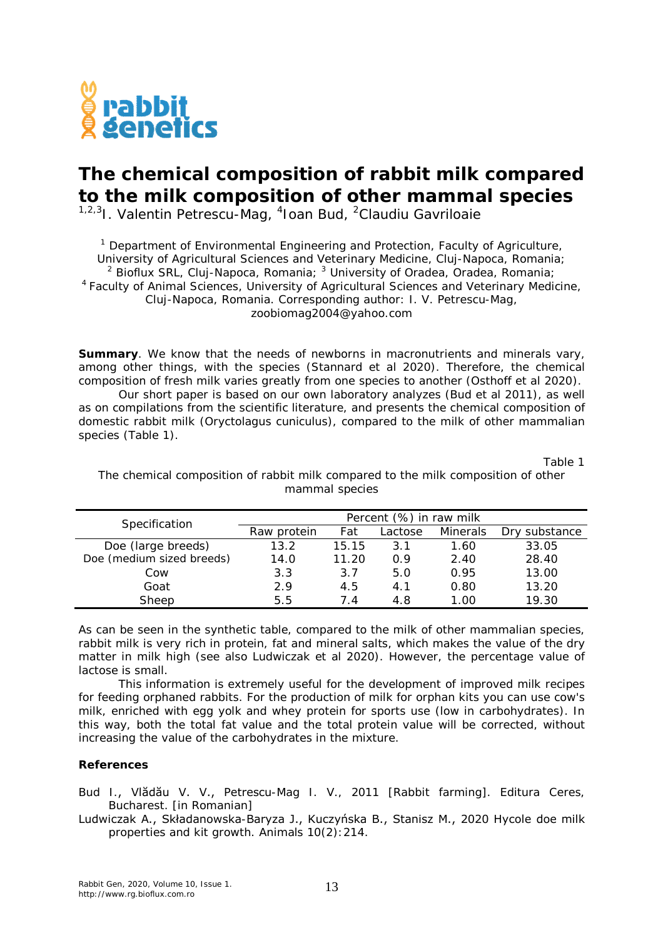

## **The chemical composition of rabbit milk compared to the milk composition of other mammal species**

<sup>1,2,3</sup>I. Valentin Petrescu-Mag, <sup>4</sup>Ioan Bud, <sup>2</sup>Claudiu Gavriloaie

<sup>1</sup> Department of Environmental Engineering and Protection, Faculty of Agriculture, University of Agricultural Sciences and Veterinary Medicine, Cluj-Napoca, Romania; <sup>2</sup> Bioflux SRL, Cluj-Napoca, Romania;  $3$  University of Oradea, Oradea, Romania; <sup>4</sup>Faculty of Animal Sciences, University of Agricultural Sciences and Veterinary Medicine, Cluj-Napoca, Romania. Corresponding author: I. V. Petrescu-Mag, zoobiomag2004@yahoo.com

**Summary.** We know that the needs of newborns in macronutrients and minerals vary, among other things, with the species (Stannard et al 2020). Therefore, the chemical composition of fresh milk varies greatly from one species to another (Osthoff et al 2020).

Our short paper is based on our own laboratory analyzes (Bud et al 2011), as well as on compilations from the scientific literature, and presents the chemical composition of domestic rabbit milk (*Oryctolagus cuniculus*), compared to the milk of other mammalian species (Table 1).

Table 1

| Specification             | Percent (%) in raw milk |       |         |                 |               |
|---------------------------|-------------------------|-------|---------|-----------------|---------------|
|                           | Raw protein             | Fat   | Lactose | <i>Minerals</i> | Dry substance |
| Doe (large breeds)        | 13.2                    | 15.15 | 3.1     | 1.60            | 33.05         |
| Doe (medium sized breeds) | 14.0                    | 11.20 | 0.9     | 2.40            | 28.40         |
| Cow                       | 3.3                     | 3.7   | 5.0     | 0.95            | 13.00         |
| Goat                      | 2.9                     | 4.5   | 4 1     | 0.80            | 13.20         |
| Sheep                     | 5.5                     | 74    | 4.8     | 1.00            | 19.30         |

The chemical composition of rabbit milk compared to the milk composition of other mammal species

As can be seen in the synthetic table, compared to the milk of other mammalian species, rabbit milk is very rich in protein, fat and mineral salts, which makes the value of the dry matter in milk high (see also Ludwiczak et al 2020). However, the percentage value of lactose is small.

This information is extremely useful for the development of improved milk recipes for feeding orphaned rabbits. For the production of milk for orphan kits you can use cow's milk, enriched with egg yolk and whey protein for sports use (low in carbohydrates). In this way, both the total fat value and the total protein value will be corrected, without increasing the value of the carbohydrates in the mixture.

## **References**

Bud I., Vlădău V. V., Petrescu-Mag I. V., 2011 [Rabbit farming]. Editura Ceres, Bucharest. [in Romanian]

Ludwiczak A., Składanowska-Baryza J., Kuczyńska B., Stanisz M., 2020 Hycole doe milk properties and kit growth. Animals 10(2):214.